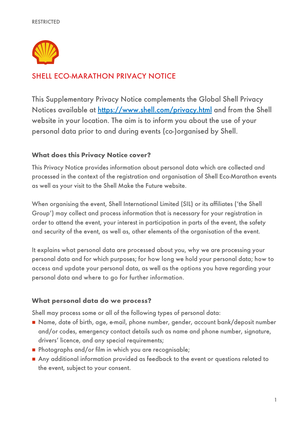

# SHELL ECO-MARATHON PRIVACY NOTICE

This Supplementary Privacy Notice complements the Global Shell Privacy Notices available at<https://www.shell.com/privacy.html> and from the Shell website in your location. The aim is to inform you about the use of your personal data prior to and during events (co-)organised by Shell.

# **What does this Privacy Notice cover?**

This Privacy Notice provides information about personal data which are collected and processed in the context of the registration and organisation of Shell Eco-Marathon events as well as your visit to the Shell Make the Future website.

When organising the event, Shell International Limited (SIL) or its affiliates ('the Shell Group') may collect and process information that is necessary for your registration in order to attend the event, your interest in participation in parts of the event, the safety and security of the event, as well as, other elements of the organisation of the event.

It explains what personal data are processed about you, why we are processing your personal data and for which purposes; for how long we hold your personal data; how to access and update your personal data, as well as the options you have regarding your personal data and where to go for further information.

### **What personal data do we process?**

Shell may process some or all of the following types of personal data:

- Name, date of birth, age, e-mail, phone number, gender, account bank/deposit number and/or codes, emergency contact details such as name and phone number, signature, drivers' licence, and any special requirements;
- Photographs and/or film in which you are recognisable;
- Any additional information provided as feedback to the event or questions related to the event, subject to your consent.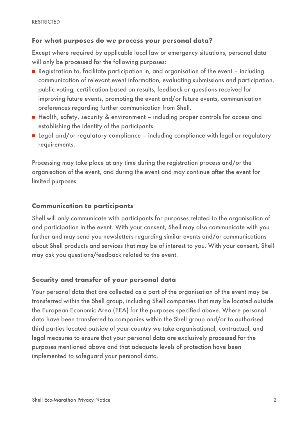### **For what purposes do we process your personal data?**

Except where required by applicable local law or emergency situations, personal data will only be processed for the following purposes:

- Registration to, facilitate participation in, and organisation of the event including communication of relevant event information, evaluating submissions and participation, public voting, certification based on results, feedback or questions received for improving future events, promoting the event and/or future events, communication preferences regarding further communication from Shell.
- Health, safety, security & environment including proper controls for access and establishing the identity of the participants.
- Legal and/or regulatory compliance including compliance with legal or regulatory requirements.

Processing may take place at any time during the registration process and/or the organisation of the event, and during the event and may continue after the event for limited purposes.

### **Communication to participants**

Shell will only communicate with participants for purposes related to the organisation of and participation in the event. With your consent, Shell may also communicate with you further and may send you newsletters regarding similar events and/or communications about Shell products and services that may be of interest to you. With your consent, Shell may ask you questions/feedback related to the event.

# **Security and transfer of your personal data**

Your personal data that are collected as a part of the organisation of the event may be transferred within the Shell group, including Shell companies that may be located outside the European Economic Area (EEA) for the purposes specified above. Where personal data have been transferred to companies within the Shell group and/or to authorised third parties located outside of your country we take organisational, contractual, and legal measures to ensure that your personal data are exclusively processed for the purposes mentioned above and that adequate levels of protection have been implemented to safeguard your personal data.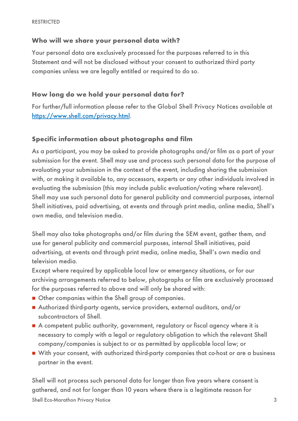# **Who will we share your personal data with?**

Your personal data are exclusively processed for the purposes referred to in this Statement and will not be disclosed without your consent to authorized third party companies unless we are legally entitled or required to do so.

### **How long do we hold your personal data for?**

For further/full information please refer to the Global Shell Privacy Notices available at [https://www.shell.com/privacy.html.](https://www.shell.com/privacy.html)

# **Specific information about photographs and film**

As a participant, you may be asked to provide photographs and/or film as a part of your submission for the event. Shell may use and process such personal data for the purpose of evaluating your submission in the context of the event, including sharing the submission with, or making it available to, any accessors, experts or any other individuals involved in evaluating the submission (this may include public evaluation/voting where relevant). Shell may use such personal data for general publicity and commercial purposes, internal Shell initiatives, paid advertising, at events and through print media, online media, Shell's own media, and television media.

Shell may also take photographs and/or film during the SEM event, gather them, and use for general publicity and commercial purposes, internal Shell initiatives, paid advertising, at events and through print media, online media, Shell's own media and television media.

Except where required by applicable local law or emergency situations, or for our archiving arrangements referred to below, photographs or film are exclusively processed for the purposes referred to above and will only be shared with:

- Other companies within the Shell group of companies.
- Authorized third-party agents, service providers, external auditors, and/or subcontractors of Shell.
- A competent public authority, government, regulatory or fiscal agency where it is necessary to comply with a legal or regulatory obligation to which the relevant Shell company/companies is subject to or as permitted by applicable local law; or
- With your consent, with authorized third-party companies that co-host or are a business partner in the event.

Shell will not process such personal data for longer than five years where consent is gathered, and not for longer than 10 years where there is a legitimate reason for

Shell Eco-Marathon Privacy Notice 3